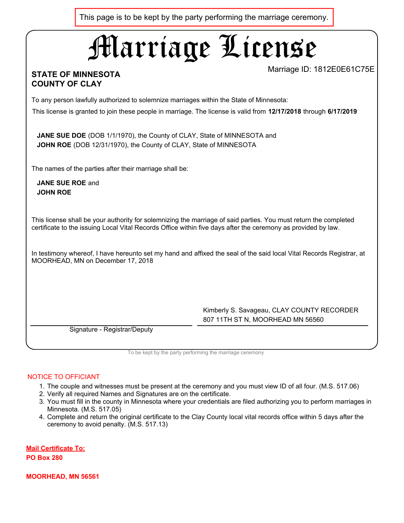This page is to be kept by the party performing the marriage ceremony.

# Marriage License

## **STATE OF MINNESOTA COUNTY OF CLAY**

Marriage ID: 1812E0E61C75E

To any person lawfully authorized to solemnize marriages within the State of Minnesota:

This license is granted to join these people in marriage. The license is valid from **12/17/2018** through **6/17/2019**

**JANE SUE DOE** (DOB 1/1/1970), the County of CLAY, State of MINNESOTA and **JOHN ROE** (DOB 12/31/1970), the County of CLAY, State of MINNESOTA

The names of the parties after their marriage shall be:

**JANE SUE ROE** and **JOHN ROE**

This license shall be your authority for solemnizing the marriage of said parties. You must return the completed certificate to the issuing Local Vital Records Office within five days after the ceremony as provided by law.

In testimony whereof, I have hereunto set my hand and affixed the seal of the said local Vital Records Registrar, at MOORHEAD, MN on December 17, 2018

> Kimberly S. Savageau, CLAY COUNTY RECORDER 807 11TH ST N, MOORHEAD MN 56560

Signature - Registrar/Deputy

To be kept by the party performing the marriage ceremony

#### NOTICE TO OFFICIANT

- 1. The couple and witnesses must be present at the ceremony and you must view ID of all four. (M.S. 517.06)
- 2. Verify all required Names and Signatures are on the certificate.
- 3. You must fill in the county in Minnesota where your credentials are filed authorizing you to perform marriages in Minnesota. (M.S. 517.05)
- 4. Complete and return the original certificate to the Clay County local vital records office within 5 days after the ceremony to avoid penalty. (M.S. 517.13)

**Mail Certificate To: PO Box 280**

**MOORHEAD, MN 56561**